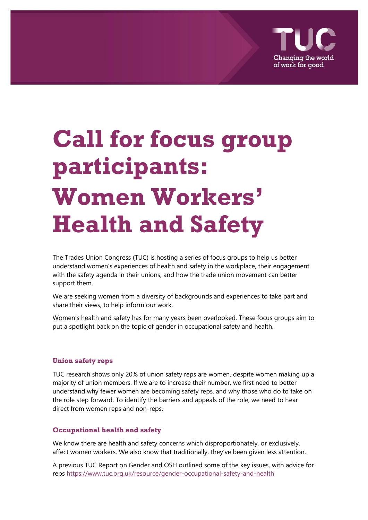

# **Call for focus group participants: Women Workers' Health and Safety**

The Trades Union Congress (TUC) is hosting a series of focus groups to help us better understand women's experiences of health and safety in the workplace, their engagement with the safety agenda in their unions, and how the trade union movement can better support them.

We are seeking women from a diversity of backgrounds and experiences to take part and share their views, to help inform our work.

Women's health and safety has for many years been overlooked. These focus groups aim to put a spotlight back on the topic of gender in occupational safety and health.

#### **Union safety reps**

TUC research shows only 20% of union safety reps are women, despite women making up a majority of union members. If we are to increase their number, we first need to better understand why fewer women are becoming safety reps, and why those who do to take on the role step forward. To identify the barriers and appeals of the role, we need to hear direct from women reps and non-reps.

#### **Occupational health and safety**

We know there are health and safety concerns which disproportionately, or exclusively, affect women workers. We also know that traditionally, they've been given less attention.

A previous TUC Report on Gender and OSH outlined some of the key issues, with advice for rep[s https://www.tuc.org.uk/resource/gender-occupational-safety-and-health](https://www.tuc.org.uk/resource/gender-occupational-safety-and-health)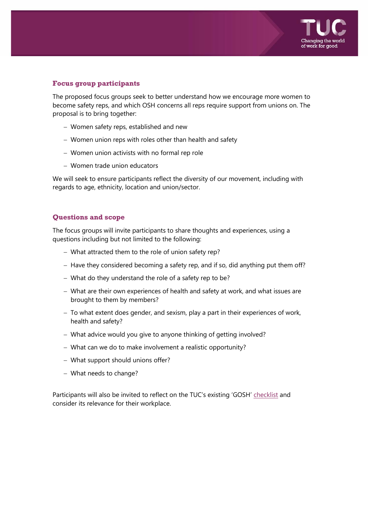

# **Focus group participants**

The proposed focus groups seek to better understand how we encourage more women to become safety reps, and which OSH concerns all reps require support from unions on. The proposal is to bring together:

- − Women safety reps, established and new
- − Women union reps with roles other than health and safety
- − Women union activists with no formal rep role
- − Women trade union educators

We will seek to ensure participants reflect the diversity of our movement, including with regards to age, ethnicity, location and union/sector.

## **Questions and scope**

The focus groups will invite participants to share thoughts and experiences, using a questions including but not limited to the following:

- − What attracted them to the role of union safety rep?
- − Have they considered becoming a safety rep, and if so, did anything put them off?
- − What do they understand the role of a safety rep to be?
- − What are their own experiences of health and safety at work, and what issues are brought to them by members?
- − To what extent does gender, and sexism, play a part in their experiences of work, health and safety?
- − What advice would you give to anyone thinking of getting involved?
- − What can we do to make involvement a realistic opportunity?
- − What support should unions offer?
- − What needs to change?

Participants will also be invited to reflect on the TUC's existing 'GOSH' [checklist](https://www.tuc.org.uk/sites/default/files/GenderHS2017.pdf) and consider its relevance for their workplace.